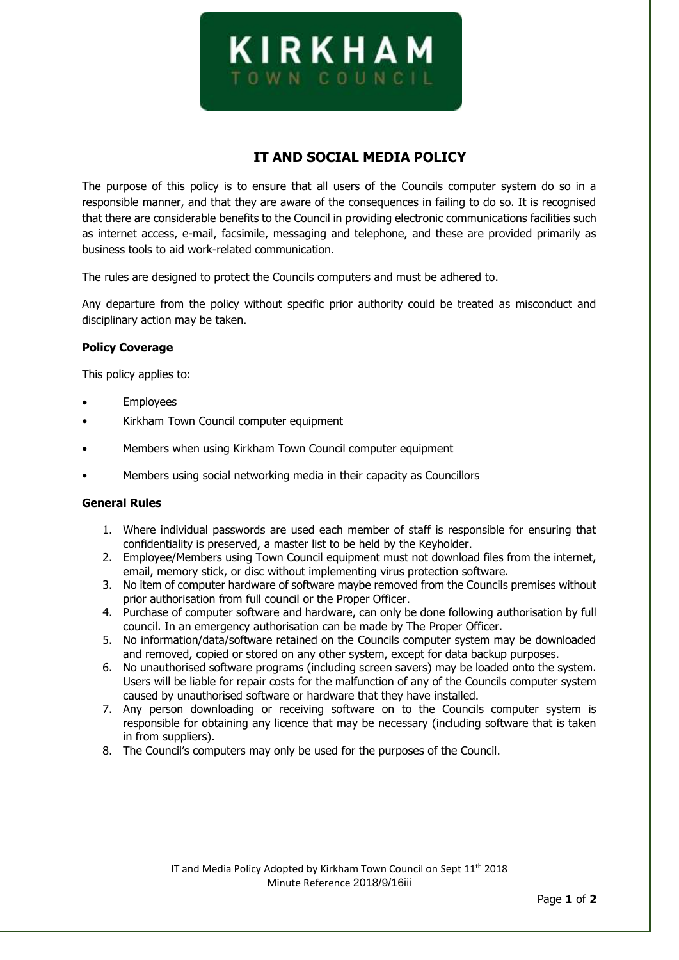# **IT AND SOCIAL MEDIA POLICY**

The purpose of this policy is to ensure that all users of the Councils computer system do so in a responsible manner, and that they are aware of the consequences in failing to do so. It is recognised that there are considerable benefits to the Council in providing electronic communications facilities such as internet access, e-mail, facsimile, messaging and telephone, and these are provided primarily as business tools to aid work-related communication.

KIRKHAN

The rules are designed to protect the Councils computers and must be adhered to.

Any departure from the policy without specific prior authority could be treated as misconduct and disciplinary action may be taken.

# **Policy Coverage**

This policy applies to:

- Employees
- Kirkham Town Council computer equipment
- Members when using Kirkham Town Council computer equipment
- Members using social networking media in their capacity as Councillors

# **General Rules**

- 1. Where individual passwords are used each member of staff is responsible for ensuring that confidentiality is preserved, a master list to be held by the Keyholder.
- 2. Employee/Members using Town Council equipment must not download files from the internet, email, memory stick, or disc without implementing virus protection software.
- 3. No item of computer hardware of software maybe removed from the Councils premises without prior authorisation from full council or the Proper Officer.
- 4. Purchase of computer software and hardware, can only be done following authorisation by full council. In an emergency authorisation can be made by The Proper Officer.
- 5. No information/data/software retained on the Councils computer system may be downloaded and removed, copied or stored on any other system, except for data backup purposes.
- 6. No unauthorised software programs (including screen savers) may be loaded onto the system. Users will be liable for repair costs for the malfunction of any of the Councils computer system caused by unauthorised software or hardware that they have installed.
- 7. Any person downloading or receiving software on to the Councils computer system is responsible for obtaining any licence that may be necessary (including software that is taken in from suppliers).
- 8. The Council's computers may only be used for the purposes of the Council.